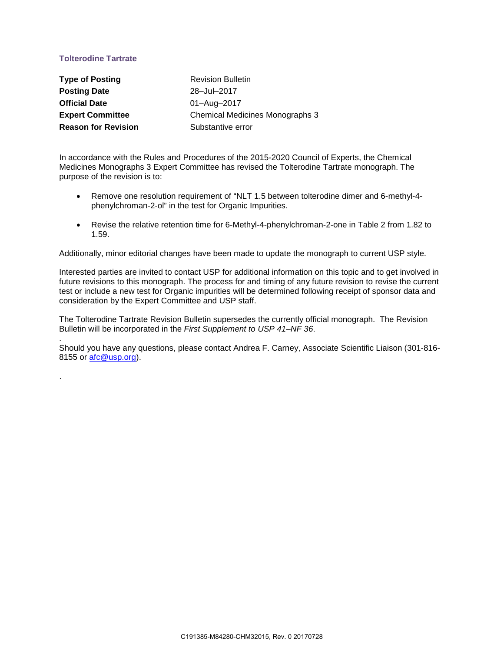# **Tolterodine Tartrate**

.

.

| <b>Type of Posting</b>     | <b>Revision Bulletin</b>        |
|----------------------------|---------------------------------|
| <b>Posting Date</b>        | 28-Jul-2017                     |
| <b>Official Date</b>       | 01-Aug-2017                     |
| <b>Expert Committee</b>    | Chemical Medicines Monographs 3 |
| <b>Reason for Revision</b> | Substantive error               |

In accordance with the Rules and Procedures of the 2015-2020 Council of Experts, the Chemical Medicines Monographs 3 Expert Committee has revised the Tolterodine Tartrate monograph. The purpose of the revision is to:

- Remove one resolution requirement of "NLT 1.5 between tolterodine dimer and 6-methyl-4 phenylchroman-2-ol" in the test for Organic Impurities.
- Revise the relative retention time for 6-Methyl-4-phenylchroman-2-one in Table 2 from 1.82 to 1.59.

Additionally, minor editorial changes have been made to update the monograph to current USP style.

Interested parties are invited to contact USP for additional information on this topic and to get involved in future revisions to this monograph. The process for and timing of any future revision to revise the current test or include a new test for Organic impurities will be determined following receipt of sponsor data and consideration by the Expert Committee and USP staff.

The Tolterodine Tartrate Revision Bulletin supersedes the currently official monograph. The Revision Bulletin will be incorporated in the *First Supplement to USP 41–NF 36*.

Should you have any questions, please contact Andrea F. Carney, Associate Scientific Liaison (301-816- 8155 or afc@usp.org).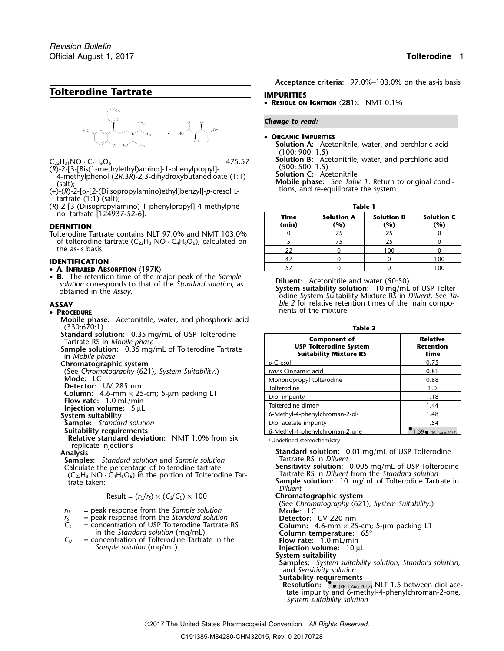# **Tolterodine Tartrate IMPURITIES**



- $C_{22}H_{31}NO \cdot C_4H_6O_6$ <br>
(R)-2-[3-[Bis(1-methylethyl)amino]-1-phenylpropyl]-<br>
4-methylphenol (2R,3R)-2,3-dihydroxybutanedioate (1:1)<br>
(salt);<br>
(+)-(R)-2-[2-(Diisopropylamino)ethyl]benzyl]-p-cresol L-<br>
(+)-(R)-2-[2-(Diiso
- tartrate (1:1) (salt);
- (*R*)-2-[3-(Diisopropylamino)-1-phenylpropyl]-4-methylphe- **Table 1** nol tartrate [124937-52-6]. **Time Solution A Solution B Solution C**

## <sup>47</sup> <sup>0</sup> <sup>0</sup> <sup>100</sup> **IDENTIFICATION**

- 
- B. The retention time of the major peak of the Sample S. The recention time of the major peak of the *sumple*<br>solution corresponds to that of the *Standard solution*, as<br>obtained in the Assay.<br>odine System Suitability Mixture RS in *Diluent*. See Ta-<br>odine System Suitability

## • PROCEDURE

- **Mobile phase:** Acetonitrile, water, and phosphoric acid (330:670:1) **Table 2**<br>**Standard solution:** 0.35 mg/mL of USP Tolterodine
- 

**Injection volume:** 5 µL<br>System suitability

**Relative standard deviation:** NMT 1.0% from six replicate injections<br>**Analysis** 

**Samples:** *Standard solution* and *Sample solution*  $(C_{22}H_{31}NO \cdot C_4H_6O_6)$  in the portion of Tolterodine Tar-<br>trate taken:

$$
Result = (r_U/r_S) \times (C_S/C_U) \times 100
$$

- $r_s$  = peak response from the *Standard solution*<br> $C_s$  = concentration of USP Tolterodine Tartrate RS
	-
- *Sample solution* (mg/mL) **Injection volume:**<sup>10</sup> <sup>µ</sup><sup>L</sup>

**Acceptance criteria:** 97.0%–103.0% on the as-is basis

• **RESIDUE ON IGNITION** 〈**281**〉**:** NMT 0.1%

## *Change to read:*

## •**ORGANIC IMPURITIES**

**Solution A:** Acetonitrile, water, and perchloric acid (100: 900: 1.5)<br>Solution B: Acetonitrile, water, and perchloric acid

| nol tartrate [124937-52-6].<br>DEFINITION                                  | <b>Time</b><br>(min) | <b>Solution A</b><br>(%) | <b>Solution B</b><br>(%) | <b>Solution C</b><br>(%) |
|----------------------------------------------------------------------------|----------------------|--------------------------|--------------------------|--------------------------|
| Tolterodine Tartrate contains NLT 97.0% and NMT 103.0%                     |                      |                          | 25                       |                          |
| of tolterodine tartrate $(C_{22}H_{31}NO \cdot C_4H_6O_6)$ , calculated on |                      |                          | 25                       |                          |
| the as-is basis.                                                           | 22                   |                          | 100                      |                          |
| IDENTIFICATION                                                             |                      |                          |                          | 100                      |
| • A. Infrared Absorption $\langle 197K\rangle$                             |                      |                          |                          | 100                      |

**ASSAY** *ble 2* **for relative retention times of the main compo-P** nents of the mixture.

| tandard solution: 0.35 mg/mL of USP Tolterodine<br>Tartrate RS in Mobile phase<br>ample solution: 0.35 mg/mL of Tolterodine Tartrate<br>in <i>Mobile phase</i> | <b>Component of</b><br><b>USP Tolterodine System</b><br><b>Suitability Mixture RS</b> | <b>Relative</b><br><b>Retention</b><br>Time |
|----------------------------------------------------------------------------------------------------------------------------------------------------------------|---------------------------------------------------------------------------------------|---------------------------------------------|
| hromatographic system                                                                                                                                          | p-Cresol                                                                              | 0.75                                        |
| (See Chromatography $\langle 621 \rangle$ , System Suitability.)                                                                                               | trans-Cinnamic acid                                                                   | 0.81                                        |
| Mode: LC                                                                                                                                                       | Monoisopropyl tolterodine                                                             | 0.88                                        |
| Detector: UV 285 nm                                                                                                                                            | Tolterodine                                                                           | 1.0                                         |
| <b>Column:</b> 4.6-mm $\times$ 25-cm; 5-µm packing L1                                                                                                          | Diol impurity                                                                         | 1.18                                        |
| Flow rate: 1.0 mL/min                                                                                                                                          | Tolterodine dimer <sup>a</sup>                                                        | 1.44                                        |
| Injection volume: $\,$ 5 $\mu$ L<br>ystem suitability                                                                                                          | 6-Methyl-4-phenylchroman-2-ol <sup>a</sup>                                            | 1.48                                        |
| <b>Sample:</b> Standard solution                                                                                                                               | Diol acetate impurity                                                                 | 1.54                                        |
| Suitability requirements                                                                                                                                       | 6-Methyl-4-phenylchroman-2-one                                                        | $\bullet$ 1.59 $\bullet$ (RB 1-Aug-2017)    |
| $\blacksquare$                                                                                                                                                 |                                                                                       |                                             |

<sup>a</sup> Undefined stereochemistry.

**Standard solution:** 0.01 mg/mL of USP Tolterodine<br>Tartrate RS in *Diluent* Calculate the percentage of tolterodine tartrate **Sensitivity solution:** 0.005 mg/mL of USP Tolterodine (C<sub>22</sub>H<sub>31</sub>NO · C<sub>4</sub>H<sub>6</sub>O<sub>6</sub>) in the portion of Tolterodine Tar-<br>(C<sub>22</sub>H<sub>31</sub>NO · C<sub>4</sub>H<sub>6</sub>O<sub>6</sub>) in the portion of Tolte Sample solution: 10 mg/mL of Tolterodine Tartrate in *Diluent* Result = (*<sup>r</sup>U*/*<sup>r</sup>S*) × (*CS*/*CU*) × 100 **Chromatographic system** (See *Chromatography* 〈621〉*, System Suitability*.) *r*<sub>*u*</sub> = peak response from the *Sample solution* **Mode:** LC **Mode:** LC *r***<sub>2</sub>** = peak response from the *Standard solution* **Detector:** UV 220 nm  $C_5$  = concentration of USP Tolterodine Tartrate RS<br>
in the *Standard solution* (mg/mL)<br>  $C_U$  = concentration of Tolterodine Tartrate in the<br>  $C_U$  = concentration of Tolterodine Tartrate in the<br> **Flow rate:** 1.0 mL/min **System suitability Samples:** *System suitability solution*, *Standard solution*, and *Sensitivity solution* **Suitability requirements<br>Resolution: <sup>®</sup>.** (RB 1-Aug-2017) NLT 1.5 between diol acetate impurity and 6-methyl-4-phenylchroman-2-one, *System suitability solution*

2017 The United States Pharmacopeial Convention *All Rights Reserved.*